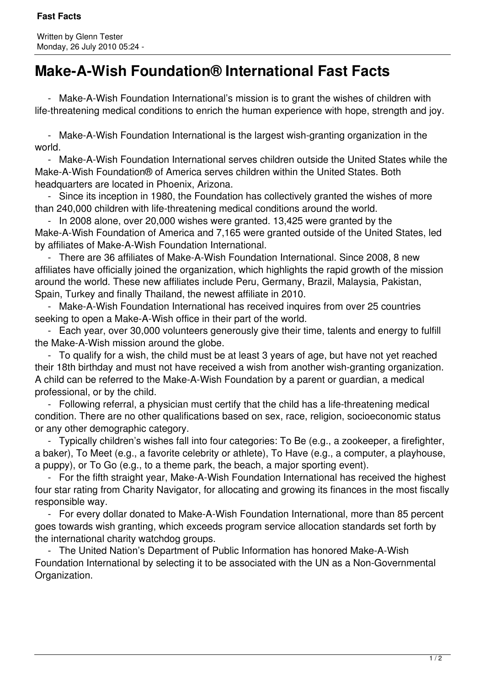## **Make-A-Wish Foundation® International Fast Facts**

 - Make-A-Wish Foundation International's mission is to grant the wishes of children with life-threatening medical conditions to enrich the human experience with hope, strength and joy.

 - Make-A-Wish Foundation International is the largest wish-granting organization in the world.

 - Make-A-Wish Foundation International serves children outside the United States while the Make-A-Wish Foundation® of America serves children within the United States. Both headquarters are located in Phoenix, Arizona.

 - Since its inception in 1980, the Foundation has collectively granted the wishes of more than 240,000 children with life-threatening medical conditions around the world.

 - In 2008 alone, over 20,000 wishes were granted. 13,425 were granted by the Make-A-Wish Foundation of America and 7,165 were granted outside of the United States, led by affiliates of Make-A-Wish Foundation International.

 - There are 36 affiliates of Make-A-Wish Foundation International. Since 2008, 8 new affiliates have officially ioined the organization, which highlights the rapid growth of the mission around the world. These new affiliates include Peru, Germany, Brazil, Malaysia, Pakistan, Spain, Turkey and finally Thailand, the newest affiliate in 2010.

 - Make-A-Wish Foundation International has received inquires from over 25 countries seeking to open a Make-A-Wish office in their part of the world.

 - Each year, over 30,000 volunteers generously give their time, talents and energy to fulfill the Make-A-Wish mission around the globe.

 - To qualify for a wish, the child must be at least 3 years of age, but have not yet reached their 18th birthday and must not have received a wish from another wish-granting organization. A child can be referred to the Make-A-Wish Foundation by a parent or guardian, a medical professional, or by the child.

 - Following referral, a physician must certify that the child has a life-threatening medical condition. There are no other qualifications based on sex, race, religion, socioeconomic status or any other demographic category.

 - Typically children's wishes fall into four categories: To Be (e.g., a zookeeper, a firefighter, a baker), To Meet (e.g., a favorite celebrity or athlete), To Have (e.g., a computer, a playhouse, a puppy), or To Go (e.g., to a theme park, the beach, a major sporting event).

 - For the fifth straight year, Make-A-Wish Foundation International has received the highest four star rating from Charity Navigator, for allocating and growing its finances in the most fiscally responsible way.

 - For every dollar donated to Make-A-Wish Foundation International, more than 85 percent goes towards wish granting, which exceeds program service allocation standards set forth by the international charity watchdog groups.

 - The United Nation's Department of Public Information has honored Make-A-Wish Foundation International by selecting it to be associated with the UN as a Non-Governmental Organization.